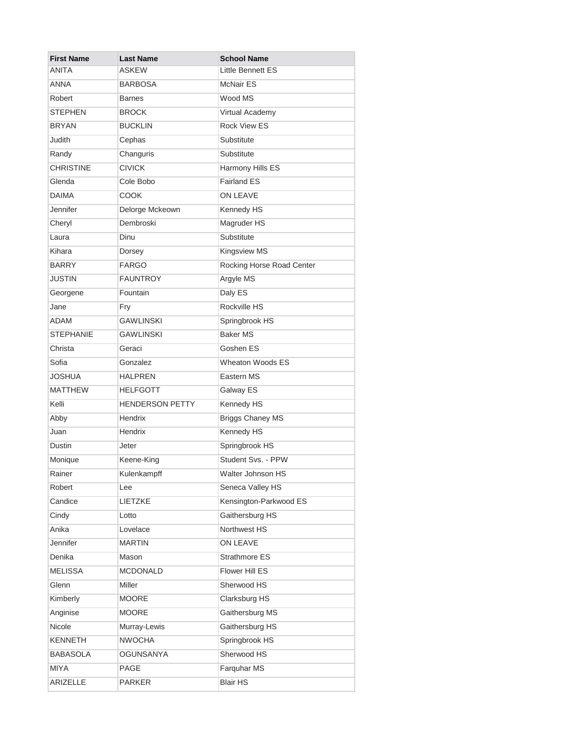| <b>First Name</b> | <b>Last Name</b>       | <b>School Name</b>        |
|-------------------|------------------------|---------------------------|
| ANITA             | ASKEW                  | Little Bennett ES         |
| <b>ANNA</b>       | <b>BARBOSA</b>         | <b>McNair ES</b>          |
| Robert            | <b>Barnes</b>          | Wood MS                   |
| <b>STEPHEN</b>    | <b>BROCK</b>           | Virtual Academy           |
| <b>BRYAN</b>      | <b>BUCKLIN</b>         | <b>Rock View ES</b>       |
| Judith            | Cephas                 | Substitute                |
| Randy             | Changuris              | Substitute                |
| <b>CHRISTINE</b>  | <b>CIVICK</b>          | Harmony Hills ES          |
| Glenda            | Cole Bobo              | <b>Fairland ES</b>        |
| <b>DAIMA</b>      | <b>COOK</b>            | ON LEAVE                  |
| Jennifer          | Delorge Mckeown        | Kennedy HS                |
| Cheryl            | Dembroski              | Magruder HS               |
| Laura             | Dinu                   | Substitute                |
| Kihara            | Dorsey                 | <b>Kingsview MS</b>       |
| <b>BARRY</b>      | <b>FARGO</b>           | Rocking Horse Road Center |
| <b>JUSTIN</b>     | <b>FAUNTROY</b>        | Argyle MS                 |
| Georgene          | Fountain               | Daly ES                   |
| Jane              | Fry                    | Rockville HS              |
| <b>ADAM</b>       | <b>GAWLINSKI</b>       | Springbrook HS            |
| <b>STEPHANIE</b>  | <b>GAWLINSKI</b>       | <b>Baker MS</b>           |
| Christa           | Geraci                 | Goshen ES                 |
| Sofia             | Gonzalez               | <b>Wheaton Woods ES</b>   |
| <b>JOSHUA</b>     | <b>HALPREN</b>         | Eastern MS                |
| <b>MATTHEW</b>    | <b>HELFGOTT</b>        | Galway ES                 |
| Kelli             | <b>HENDERSON PETTY</b> | Kennedy HS                |
| Abby              | Hendrix                | <b>Briggs Chaney MS</b>   |
| Juan              | Hendrix                | Kennedy HS                |
| Dustin            | Jeter                  | Springbrook HS            |
| Monique           | Keene-King             | Student Svs. - PPW        |
| Rainer            | Kulenkampff            | Walter Johnson HS         |
| Robert            | Lee                    | Seneca Valley HS          |
| Candice           | LIETZKE                | Kensington-Parkwood ES    |
| Cindy             | Lotto                  | Gaithersburg HS           |
| Anika             | Lovelace               | Northwest HS              |
| Jennifer          | <b>MARTIN</b>          | ON LEAVE                  |
| Denika            | Mason                  | Strathmore ES             |
| <b>MELISSA</b>    | <b>MCDONALD</b>        | Flower Hill ES            |
| Glenn             | Miller                 | Sherwood HS               |
| Kimberly          | <b>MOORE</b>           | Clarksburg HS             |
| Anginise          | <b>MOORE</b>           | Gaithersburg MS           |
| Nicole            | Murray-Lewis           | Gaithersburg HS           |
| <b>KENNETH</b>    | <b>NWOCHA</b>          | Springbrook HS            |
| <b>BABASOLA</b>   | <b>OGUNSANYA</b>       | Sherwood HS               |
| <b>MIYA</b>       | PAGE                   | Farquhar MS               |
| ARIZELLE          | <b>PARKER</b>          | <b>Blair HS</b>           |